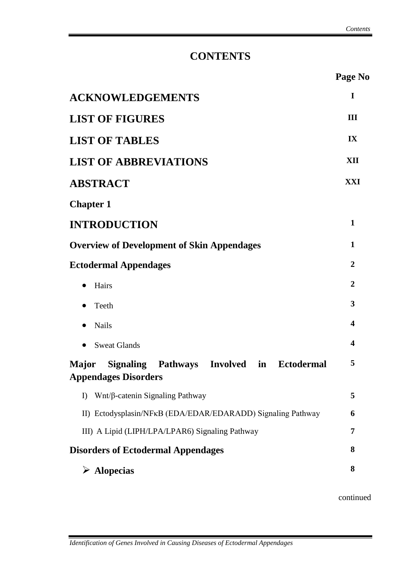## **CONTENTS**

|                                                                                   | Page No                 |
|-----------------------------------------------------------------------------------|-------------------------|
| <b>ACKNOWLEDGEMENTS</b>                                                           | I                       |
| <b>LIST OF FIGURES</b>                                                            | III                     |
| <b>LIST OF TABLES</b>                                                             | IX                      |
| <b>LIST OF ABBREVIATIONS</b>                                                      | XII                     |
| <b>ABSTRACT</b>                                                                   | XXI                     |
| <b>Chapter 1</b>                                                                  |                         |
| <b>INTRODUCTION</b>                                                               | $\mathbf{1}$            |
| <b>Overview of Development of Skin Appendages</b>                                 | $\mathbf{1}$            |
| <b>Ectodermal Appendages</b>                                                      | $\overline{2}$          |
| Hairs                                                                             | $\overline{2}$          |
| Teeth                                                                             | 3                       |
| <b>Nails</b>                                                                      | $\overline{\mathbf{4}}$ |
| <b>Sweat Glands</b><br>$\bullet$                                                  | 4                       |
| Signaling Pathways Involved in Ectodermal<br>Major<br><b>Appendages Disorders</b> | 5                       |
| Wnt/β-catenin Signaling Pathway<br>$\bf{I}$                                       | 5                       |
| II) Ectodysplasin/NFKB (EDA/EDAR/EDARADD) Signaling Pathway                       | 6                       |
| III) A Lipid (LIPH/LPA/LPAR6) Signaling Pathway                                   | 7                       |
| <b>Disorders of Ectodermal Appendages</b>                                         | 8                       |
| $\triangleright$ Alopecias                                                        | 8                       |
|                                                                                   |                         |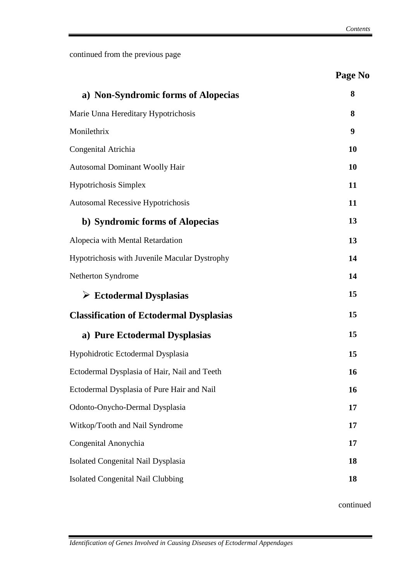|                                                | Page No   |
|------------------------------------------------|-----------|
| a) Non-Syndromic forms of Alopecias            | 8         |
| Marie Unna Hereditary Hypotrichosis            | 8         |
| Monilethrix                                    | 9         |
| Congenital Atrichia                            | 10        |
| Autosomal Dominant Woolly Hair                 | 10        |
| <b>Hypotrichosis Simplex</b>                   | 11        |
| <b>Autosomal Recessive Hypotrichosis</b>       | 11        |
| b) Syndromic forms of Alopecias                | 13        |
| Alopecia with Mental Retardation               | 13        |
| Hypotrichosis with Juvenile Macular Dystrophy  | 14        |
| Netherton Syndrome                             | 14        |
| $\triangleright$ Ectodermal Dysplasias         | 15        |
| <b>Classification of Ectodermal Dysplasias</b> | 15        |
| a) Pure Ectodermal Dysplasias                  | 15        |
| Hypohidrotic Ectodermal Dysplasia              | 15        |
| Ectodermal Dysplasia of Hair, Nail and Teeth   | <b>16</b> |
| Ectodermal Dysplasia of Pure Hair and Nail     | 16        |
| Odonto-Onycho-Dermal Dysplasia                 | 17        |
| Witkop/Tooth and Nail Syndrome                 | 17        |
| Congenital Anonychia                           | 17        |
| Isolated Congenital Nail Dysplasia             | 18        |
| <b>Isolated Congenital Nail Clubbing</b>       | 18        |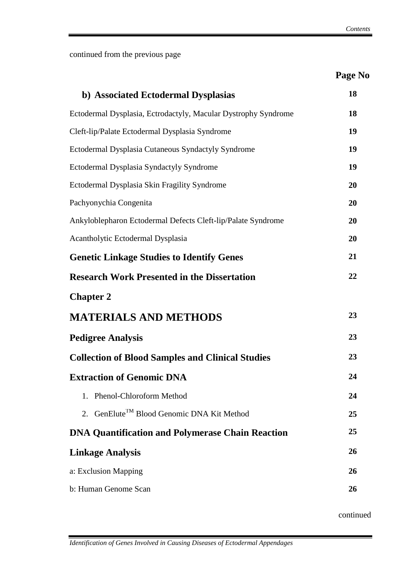|                                                                | Page No |
|----------------------------------------------------------------|---------|
| b) Associated Ectodermal Dysplasias                            | 18      |
| Ectodermal Dysplasia, Ectrodactyly, Macular Dystrophy Syndrome | 18      |
| Cleft-lip/Palate Ectodermal Dysplasia Syndrome                 | 19      |
| Ectodermal Dysplasia Cutaneous Syndactyly Syndrome             | 19      |
| Ectodermal Dysplasia Syndactyly Syndrome                       | 19      |
| Ectodermal Dysplasia Skin Fragility Syndrome                   | 20      |
| Pachyonychia Congenita                                         | 20      |
| Ankyloblepharon Ectodermal Defects Cleft-lip/Palate Syndrome   | 20      |
| Acantholytic Ectodermal Dysplasia                              | 20      |
| <b>Genetic Linkage Studies to Identify Genes</b>               | 21      |
| <b>Research Work Presented in the Dissertation</b>             | 22      |
| <b>Chapter 2</b>                                               |         |
| <b>MATERIALS AND METHODS</b>                                   | 23      |
| <b>Pedigree Analysis</b>                                       | 23      |
| <b>Collection of Blood Samples and Clinical Studies</b>        | 23      |
| <b>Extraction of Genomic DNA</b>                               | 24      |
| 1. Phenol-Chloroform Method                                    | 24      |
| 2. GenElute <sup>TM</sup> Blood Genomic DNA Kit Method         | 25      |
| <b>DNA Quantification and Polymerase Chain Reaction</b>        | 25      |
| <b>Linkage Analysis</b>                                        | 26      |
| a: Exclusion Mapping                                           | 26      |
| b: Human Genome Scan                                           | 26      |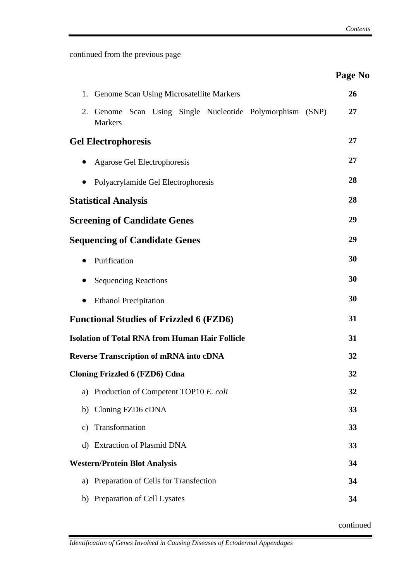|                                                                                | Page No |
|--------------------------------------------------------------------------------|---------|
| Genome Scan Using Microsatellite Markers<br>1.                                 | 26      |
| Genome Scan Using Single Nucleotide Polymorphism (SNP)<br>2.<br><b>Markers</b> | 27      |
| <b>Gel Electrophoresis</b>                                                     | 27      |
| Agarose Gel Electrophoresis                                                    | 27      |
| Polyacrylamide Gel Electrophoresis                                             | 28      |
| <b>Statistical Analysis</b>                                                    | 28      |
| <b>Screening of Candidate Genes</b>                                            | 29      |
| <b>Sequencing of Candidate Genes</b>                                           | 29      |
| Purification                                                                   | 30      |
| <b>Sequencing Reactions</b>                                                    | 30      |
| <b>Ethanol Precipitation</b>                                                   | 30      |
| <b>Functional Studies of Frizzled 6 (FZD6)</b>                                 | 31      |
| <b>Isolation of Total RNA from Human Hair Follicle</b>                         | 31      |
| <b>Reverse Transcription of mRNA into cDNA</b>                                 | 32      |
| <b>Cloning Frizzled 6 (FZD6) Cdna</b>                                          | 32      |
| Production of Competent TOP10 E. coli<br>a)                                    | 32      |
| Cloning FZD6 cDNA<br>b)                                                        | 33      |
| Transformation<br>$\mathcal{C}$ )                                              | 33      |
| <b>Extraction of Plasmid DNA</b><br>d)                                         | 33      |
| <b>Western/Protein Blot Analysis</b>                                           | 34      |
| Preparation of Cells for Transfection<br>a)                                    | 34      |
| Preparation of Cell Lysates<br>b)                                              | 34      |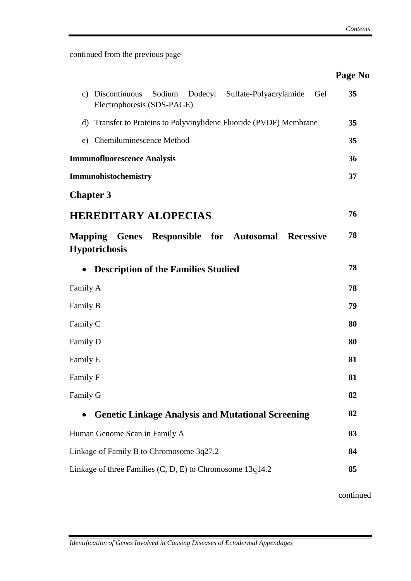|                                                                                                                 | Page No |
|-----------------------------------------------------------------------------------------------------------------|---------|
| Discontinuous<br>Sodium Dodecyl<br>Sulfate-Polyacrylamide<br>Gel<br>$\mathbf{c})$<br>Electrophoresis (SDS-PAGE) | 35      |
| d) Transfer to Proteins to Polyvinylidene Fluoride (PVDF) Membrane                                              | 35      |
| Chemiluminescence Method<br>e)                                                                                  | 35      |
| <b>Immunofluorescence Analysis</b>                                                                              | 36      |
| Immunohistochemistry                                                                                            | 37      |
| <b>Chapter 3</b>                                                                                                |         |
| <b>HEREDITARY ALOPECIAS</b>                                                                                     | 76      |
| Mapping Genes Responsible for Autosomal Recessive<br><b>Hypotrichosis</b>                                       | 78      |
| <b>Description of the Families Studied</b><br>$\bullet$                                                         | 78      |
| Family A                                                                                                        | 78      |
| Family B                                                                                                        | 79      |
| Family C                                                                                                        | 80      |
| Family D                                                                                                        | 80      |
| Family E                                                                                                        | 81      |
| Family F                                                                                                        | 81      |
| Family G                                                                                                        | 82      |
| <b>Genetic Linkage Analysis and Mutational Screening</b>                                                        | 82      |
| Human Genome Scan in Family A                                                                                   | 83      |
| Linkage of Family B to Chromosome 3q27.2                                                                        | 84      |
| Linkage of three Families (C, D, E) to Chromosome 13q14.2                                                       | 85      |